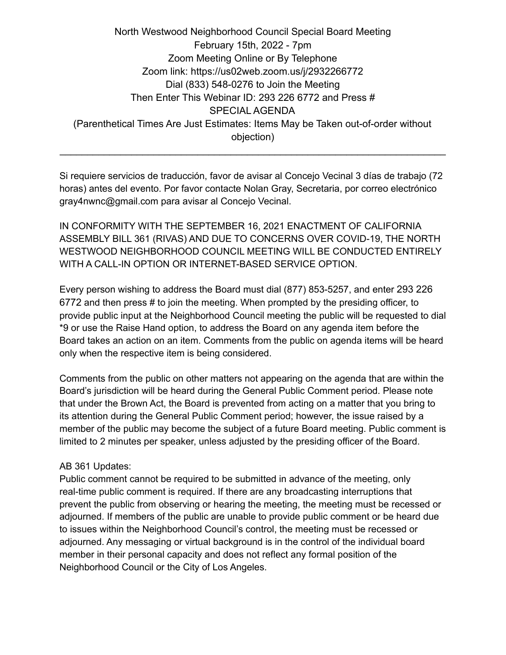North Westwood Neighborhood Council Special Board Meeting February 15th, 2022 - 7pm Zoom Meeting Online or By Telephone Zoom link: https://us02web.zoom.us/j/2932266772 Dial (833) 548-0276 to Join the Meeting Then Enter This Webinar ID: 293 226 6772 and Press # SPECIAL AGENDA (Parenthetical Times Are Just Estimates: Items May be Taken out-of-order without objection)

Si requiere servicios de traducción, favor de avisar al Concejo Vecinal 3 días de trabajo (72 horas) antes del evento. Por favor contacte Nolan Gray, Secretaria, por correo electrónico gray4nwnc@gmail.com para avisar al Concejo Vecinal.

 $\mathcal{L}_\text{max} = \mathcal{L}_\text{max} = \mathcal{L}_\text{max} = \mathcal{L}_\text{max} = \mathcal{L}_\text{max} = \mathcal{L}_\text{max} = \mathcal{L}_\text{max} = \mathcal{L}_\text{max} = \mathcal{L}_\text{max} = \mathcal{L}_\text{max} = \mathcal{L}_\text{max} = \mathcal{L}_\text{max} = \mathcal{L}_\text{max} = \mathcal{L}_\text{max} = \mathcal{L}_\text{max} = \mathcal{L}_\text{max} = \mathcal{L}_\text{max} = \mathcal{L}_\text{max} = \mathcal{$ 

IN CONFORMITY WITH THE SEPTEMBER 16, 2021 ENACTMENT OF CALIFORNIA ASSEMBLY BILL 361 (RIVAS) AND DUE TO CONCERNS OVER COVID-19, THE NORTH WESTWOOD NEIGHBORHOOD COUNCIL MEETING WILL BE CONDUCTED ENTIRELY WITH A CALL-IN OPTION OR INTERNET-BASED SERVICE OPTION.

Every person wishing to address the Board must dial (877) 853-5257, and enter 293 226 6772 and then press # to join the meeting. When prompted by the presiding officer, to provide public input at the Neighborhood Council meeting the public will be requested to dial \*9 or use the Raise Hand option, to address the Board on any agenda item before the Board takes an action on an item. Comments from the public on agenda items will be heard only when the respective item is being considered.

Comments from the public on other matters not appearing on the agenda that are within the Board's jurisdiction will be heard during the General Public Comment period. Please note that under the Brown Act, the Board is prevented from acting on a matter that you bring to its attention during the General Public Comment period; however, the issue raised by a member of the public may become the subject of a future Board meeting. Public comment is limited to 2 minutes per speaker, unless adjusted by the presiding officer of the Board.

## AB 361 Updates:

Public comment cannot be required to be submitted in advance of the meeting, only real-time public comment is required. If there are any broadcasting interruptions that prevent the public from observing or hearing the meeting, the meeting must be recessed or adjourned. If members of the public are unable to provide public comment or be heard due to issues within the Neighborhood Council's control, the meeting must be recessed or adjourned. Any messaging or virtual background is in the control of the individual board member in their personal capacity and does not reflect any formal position of the Neighborhood Council or the City of Los Angeles.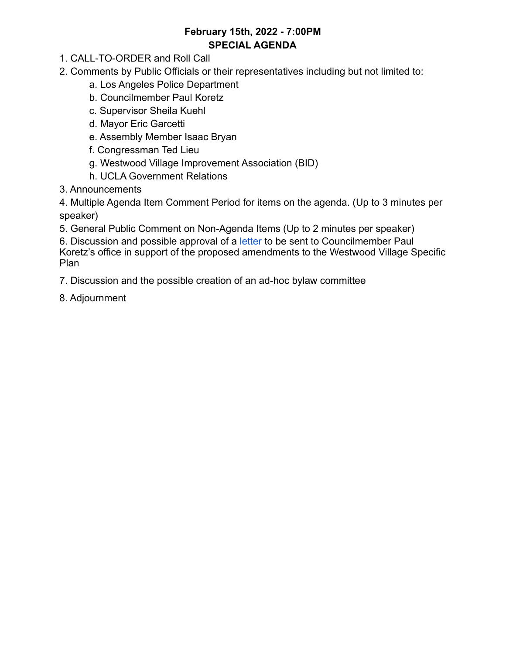## **February 15th, 2022 - 7:00PM SPECIAL AGENDA**

- 1. CALL-TO-ORDER and Roll Call
- 2. Comments by Public Officials or their representatives including but not limited to:
	- a. Los Angeles Police Department
	- b. Councilmember Paul Koretz
	- c. Supervisor Sheila Kuehl
	- d. Mayor Eric Garcetti
	- e. Assembly Member Isaac Bryan
	- f. Congressman Ted Lieu
	- g. Westwood Village Improvement Association (BID)
	- h. UCLA Government Relations
- 3. Announcements

4. Multiple Agenda Item Comment Period for items on the agenda. (Up to 3 minutes per speaker)

5. General Public Comment on Non-Agenda Items (Up to 2 minutes per speaker)

6. Discussion and possible approval of a [letter](https://docs.google.com/document/d/1hLC7platM1l3D40nQf-t_xzUpQZjjJfUMbwHovmKUe8/edit?usp=sharing) to be sent to Councilmember Paul Koretz's office in support of the proposed amendments to the Westwood Village Specific Plan

7. Discussion and the possible creation of an ad-hoc bylaw committee

8. Adjournment